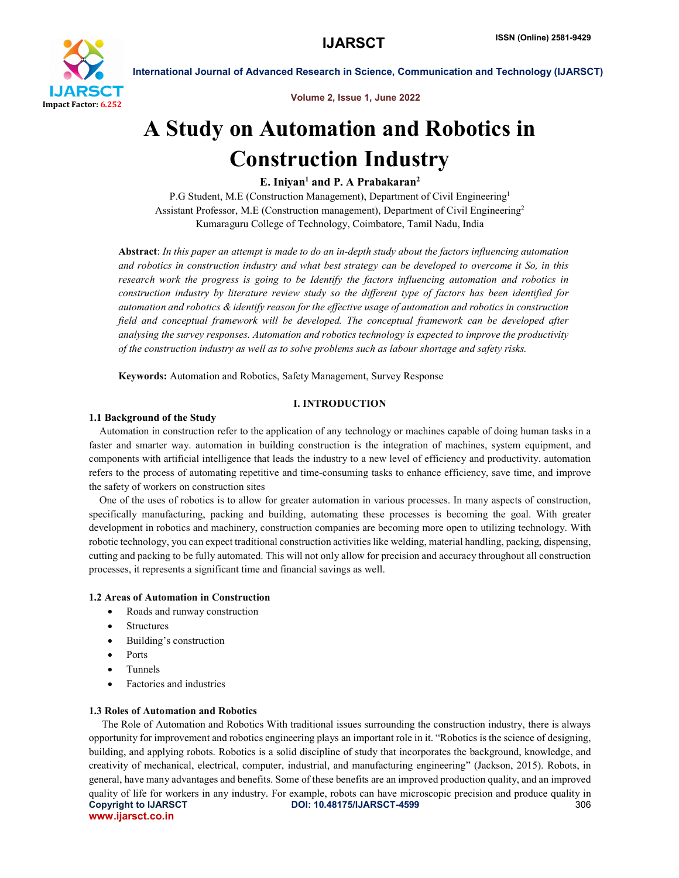

Volume 2, Issue 1, June 2022

International Journal of Advanced Research in Science, Communication and Technology (IJARSCT)

# A Study on Automation and Robotics in Construction Industry

# E. Iniyan<sup>1</sup> and P. A Prabakaran<sup>2</sup>

P.G Student, M.E (Construction Management), Department of Civil Engineering<sup>1</sup> Assistant Professor, M.E (Construction management), Department of Civil Engineering2 Kumaraguru College of Technology, Coimbatore, Tamil Nadu, India

Abstract: *In this paper an attempt is made to do an in-depth study about the factors influencing automation and robotics in construction industry and what best strategy can be developed to overcome it So, in this research work the progress is going to be Identify the factors influencing automation and robotics in construction industry by literature review study so the different type of factors has been identified for automation and robotics & identify reason for the effective usage of automation and robotics in construction field and conceptual framework will be developed. The conceptual framework can be developed after analysing the survey responses. Automation and robotics technology is expected to improve the productivity of the construction industry as well as to solve problems such as labour shortage and safety risks.*

Keywords: Automation and Robotics, Safety Management, Survey Response

### I. INTRODUCTION

### 1.1 Background of the Study

Automation in construction refer to the application of any technology or machines capable of doing human tasks in a faster and smarter way. automation in building construction is the integration of machines, system equipment, and components with artificial intelligence that leads the industry to a new level of efficiency and productivity. automation refers to the process of automating repetitive and time-consuming tasks to enhance efficiency, save time, and improve the safety of workers on construction sites

One of the uses of robotics is to allow for greater automation in various processes. In many aspects of construction, specifically manufacturing, packing and building, automating these processes is becoming the goal. With greater development in robotics and machinery, construction companies are becoming more open to utilizing technology. With robotic technology, you can expect traditional construction activities like welding, material handling, packing, dispensing, cutting and packing to be fully automated. This will not only allow for precision and accuracy throughout all construction processes, it represents a significant time and financial savings as well.

### 1.2 Areas of Automation in Construction

- Roads and runway construction
- Structures
- Building's construction
- Ports
- Tunnels
- Factories and industries

### 1.3 Roles of Automation and Robotics

Copyright to IJARSCT **DOI: 10.48175/IJARSCT-4599** 306 www.ijarsct.co.in The Role of Automation and Robotics With traditional issues surrounding the construction industry, there is always opportunity for improvement and robotics engineering plays an important role in it. "Robotics is the science of designing, building, and applying robots. Robotics is a solid discipline of study that incorporates the background, knowledge, and creativity of mechanical, electrical, computer, industrial, and manufacturing engineering" (Jackson, 2015). Robots, in general, have many advantages and benefits. Some of these benefits are an improved production quality, and an improved quality of life for workers in any industry. For example, robots can have microscopic precision and produce quality in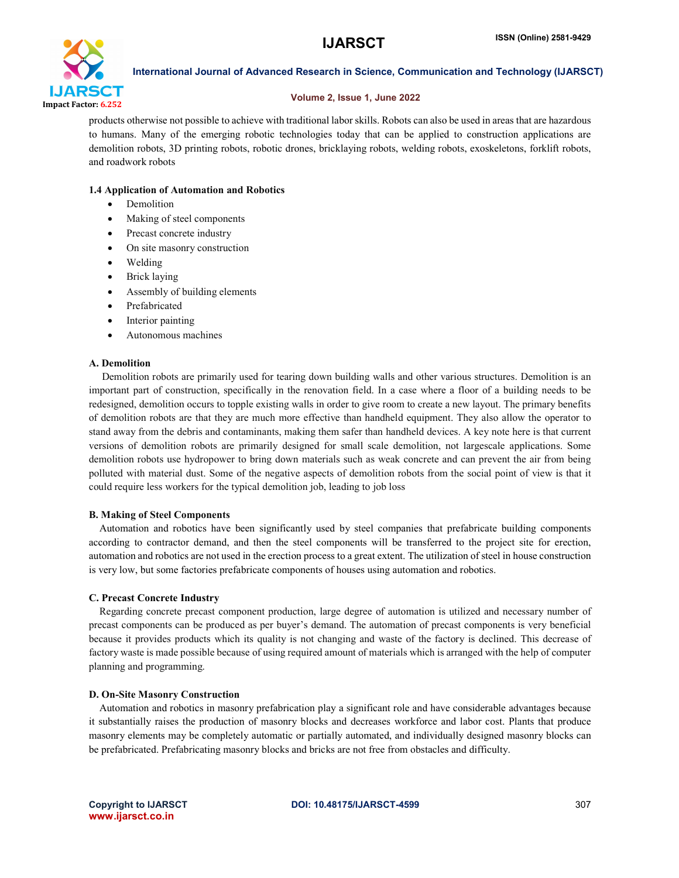

# Volume 2, Issue 1, June 2022

products otherwise not possible to achieve with traditional labor skills. Robots can also be used in areas that are hazardous to humans. Many of the emerging robotic technologies today that can be applied to construction applications are demolition robots, 3D printing robots, robotic drones, bricklaying robots, welding robots, exoskeletons, forklift robots, and roadwork robots

# 1.4 Application of Automation and Robotics

- Demolition
- Making of steel components
- Precast concrete industry
- On site masonry construction
- Welding
- Brick laying
- Assembly of building elements
- Prefabricated
- Interior painting
- Autonomous machines

# A. Demolition

 Demolition robots are primarily used for tearing down building walls and other various structures. Demolition is an important part of construction, specifically in the renovation field. In a case where a floor of a building needs to be redesigned, demolition occurs to topple existing walls in order to give room to create a new layout. The primary benefits of demolition robots are that they are much more effective than handheld equipment. They also allow the operator to stand away from the debris and contaminants, making them safer than handheld devices. A key note here is that current versions of demolition robots are primarily designed for small scale demolition, not largescale applications. Some demolition robots use hydropower to bring down materials such as weak concrete and can prevent the air from being polluted with material dust. Some of the negative aspects of demolition robots from the social point of view is that it could require less workers for the typical demolition job, leading to job loss

# B. Making of Steel Components

Automation and robotics have been significantly used by steel companies that prefabricate building components according to contractor demand, and then the steel components will be transferred to the project site for erection, automation and robotics are not used in the erection process to a great extent. The utilization of steel in house construction is very low, but some factories prefabricate components of houses using automation and robotics.

# C. Precast Concrete Industry

Regarding concrete precast component production, large degree of automation is utilized and necessary number of precast components can be produced as per buyer's demand. The automation of precast components is very beneficial because it provides products which its quality is not changing and waste of the factory is declined. This decrease of factory waste is made possible because of using required amount of materials which is arranged with the help of computer planning and programming.

# D. On-Site Masonry Construction

Automation and robotics in masonry prefabrication play a significant role and have considerable advantages because it substantially raises the production of masonry blocks and decreases workforce and labor cost. Plants that produce masonry elements may be completely automatic or partially automated, and individually designed masonry blocks can be prefabricated. Prefabricating masonry blocks and bricks are not free from obstacles and difficulty.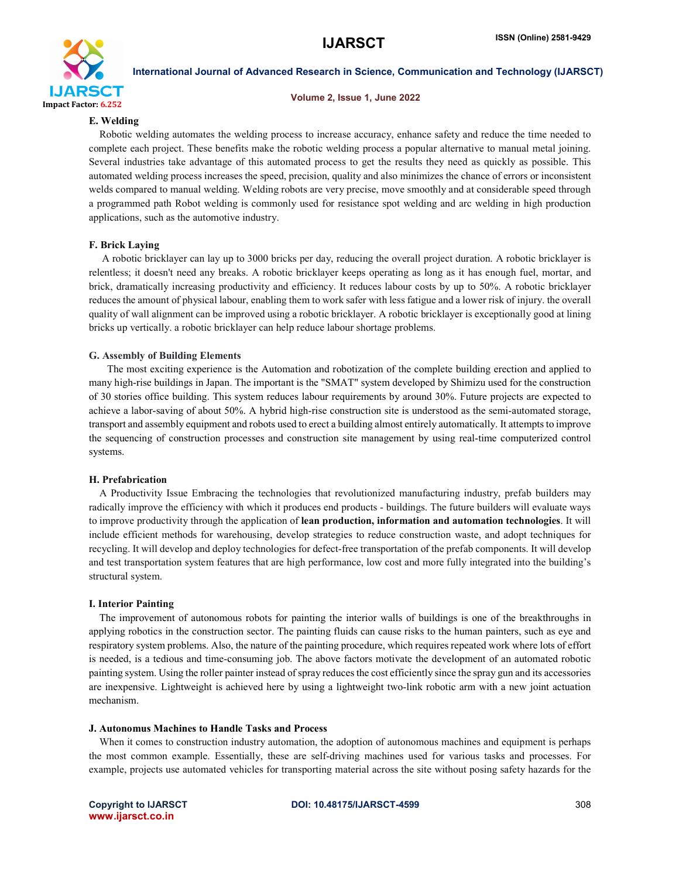

### Volume 2, Issue 1, June 2022

# E. Welding

Robotic welding automates the welding process to increase accuracy, enhance safety and reduce the time needed to complete each project. These benefits make the robotic welding process a popular alternative to manual metal joining. Several industries take advantage of this automated process to get the results they need as quickly as possible. This automated welding process increases the speed, precision, quality and also minimizes the chance of errors or inconsistent welds compared to manual welding. Welding robots are very precise, move smoothly and at considerable speed through a programmed path Robot welding is commonly used for resistance spot welding and arc welding in high production applications, such as the automotive industry.

# F. Brick Laying

 A robotic bricklayer can lay up to 3000 bricks per day, reducing the overall project duration. A robotic bricklayer is relentless; it doesn't need any breaks. A robotic bricklayer keeps operating as long as it has enough fuel, mortar, and brick, dramatically increasing productivity and efficiency. It reduces labour costs by up to 50%. A robotic bricklayer reduces the amount of physical labour, enabling them to work safer with less fatigue and a lower risk of injury. the overall quality of wall alignment can be improved using a robotic bricklayer. A robotic bricklayer is exceptionally good at lining bricks up vertically. a robotic bricklayer can help reduce labour shortage problems.

### G. Assembly of Building Elements

 The most exciting experience is the Automation and robotization of the complete building erection and applied to many high-rise buildings in Japan. The important is the "SMAT" system developed by Shimizu used for the construction of 30 stories office building. This system reduces labour requirements by around 30%. Future projects are expected to achieve a labor-saving of about 50%. A hybrid high-rise construction site is understood as the semi-automated storage, transport and assembly equipment and robots used to erect a building almost entirely automatically. It attempts to improve the sequencing of construction processes and construction site management by using real-time computerized control systems.

### H. Prefabrication

A Productivity Issue Embracing the technologies that revolutionized manufacturing industry, prefab builders may radically improve the efficiency with which it produces end products - buildings. The future builders will evaluate ways to improve productivity through the application of lean production, information and automation technologies. It will include efficient methods for warehousing, develop strategies to reduce construction waste, and adopt techniques for recycling. It will develop and deploy technologies for defect-free transportation of the prefab components. It will develop and test transportation system features that are high performance, low cost and more fully integrated into the building's structural system.

# I. Interior Painting

The improvement of autonomous robots for painting the interior walls of buildings is one of the breakthroughs in applying robotics in the construction sector. The painting fluids can cause risks to the human painters, such as eye and respiratory system problems. Also, the nature of the painting procedure, which requires repeated work where lots of effort is needed, is a tedious and time-consuming job. The above factors motivate the development of an automated robotic painting system. Using the roller painter instead of spray reducesthe cost efficiently since the spray gun and its accessories are inexpensive. Lightweight is achieved here by using a lightweight two-link robotic arm with a new joint actuation mechanism.

### J. Autonomus Machines to Handle Tasks and Process

When it comes to construction industry automation, the adoption of autonomous machines and equipment is perhaps the most common example. Essentially, these are self-driving machines used for various tasks and processes. For example, projects use automated vehicles for transporting material across the site without posing safety hazards for the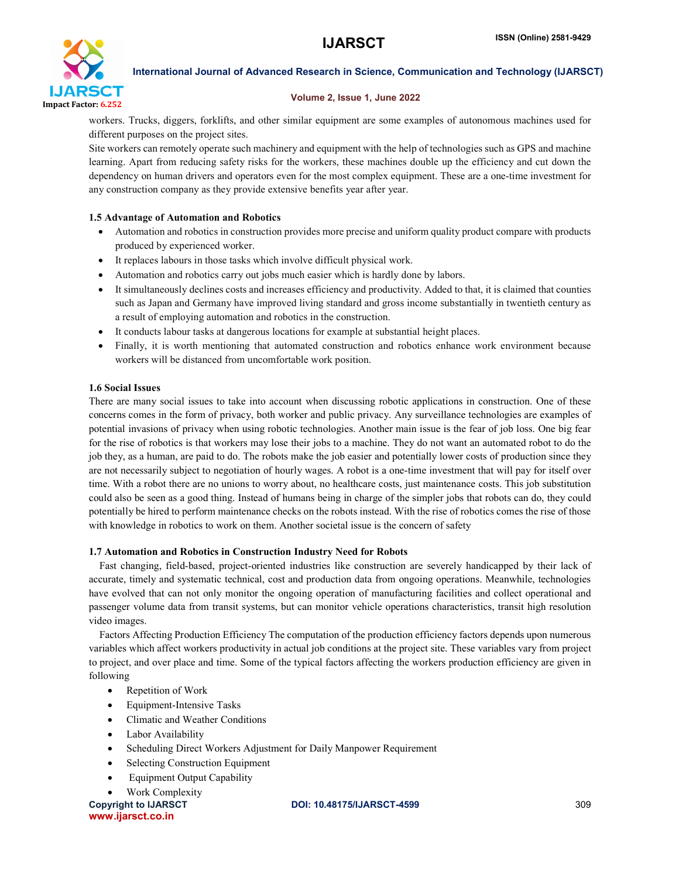

# Volume 2, Issue 1, June 2022

workers. Trucks, diggers, forklifts, and other similar equipment are some examples of autonomous machines used for different purposes on the project sites.

Site workers can remotely operate such machinery and equipment with the help of technologies such as GPS and machine learning. Apart from reducing safety risks for the workers, these machines double up the efficiency and cut down the dependency on human drivers and operators even for the most complex equipment. These are a one-time investment for any construction company as they provide extensive benefits year after year.

# 1.5 Advantage of Automation and Robotics

- Automation and robotics in construction provides more precise and uniform quality product compare with products produced by experienced worker.
- It replaces labours in those tasks which involve difficult physical work.
- Automation and robotics carry out jobs much easier which is hardly done by labors.
- It simultaneously declines costs and increases efficiency and productivity. Added to that, it is claimed that counties such as Japan and Germany have improved living standard and gross income substantially in twentieth century as a result of employing automation and robotics in the construction.
- It conducts labour tasks at dangerous locations for example at substantial height places.
- Finally, it is worth mentioning that automated construction and robotics enhance work environment because workers will be distanced from uncomfortable work position.

# 1.6 Social Issues

There are many social issues to take into account when discussing robotic applications in construction. One of these concerns comes in the form of privacy, both worker and public privacy. Any surveillance technologies are examples of potential invasions of privacy when using robotic technologies. Another main issue is the fear of job loss. One big fear for the rise of robotics is that workers may lose their jobs to a machine. They do not want an automated robot to do the job they, as a human, are paid to do. The robots make the job easier and potentially lower costs of production since they are not necessarily subject to negotiation of hourly wages. A robot is a one-time investment that will pay for itself over time. With a robot there are no unions to worry about, no healthcare costs, just maintenance costs. This job substitution could also be seen as a good thing. Instead of humans being in charge of the simpler jobs that robots can do, they could potentially be hired to perform maintenance checks on the robots instead. With the rise of robotics comes the rise of those with knowledge in robotics to work on them. Another societal issue is the concern of safety

# 1.7 Automation and Robotics in Construction Industry Need for Robots

Fast changing, field-based, project-oriented industries like construction are severely handicapped by their lack of accurate, timely and systematic technical, cost and production data from ongoing operations. Meanwhile, technologies have evolved that can not only monitor the ongoing operation of manufacturing facilities and collect operational and passenger volume data from transit systems, but can monitor vehicle operations characteristics, transit high resolution video images.

Factors Affecting Production Efficiency The computation of the production efficiency factors depends upon numerous variables which affect workers productivity in actual job conditions at the project site. These variables vary from project to project, and over place and time. Some of the typical factors affecting the workers production efficiency are given in following

- Repetition of Work
- Equipment-Intensive Tasks
- Climatic and Weather Conditions
- Labor Availability
- Scheduling Direct Workers Adjustment for Daily Manpower Requirement
- Selecting Construction Equipment
- Equipment Output Capability
- Work Complexity

www.ijarsct.co.in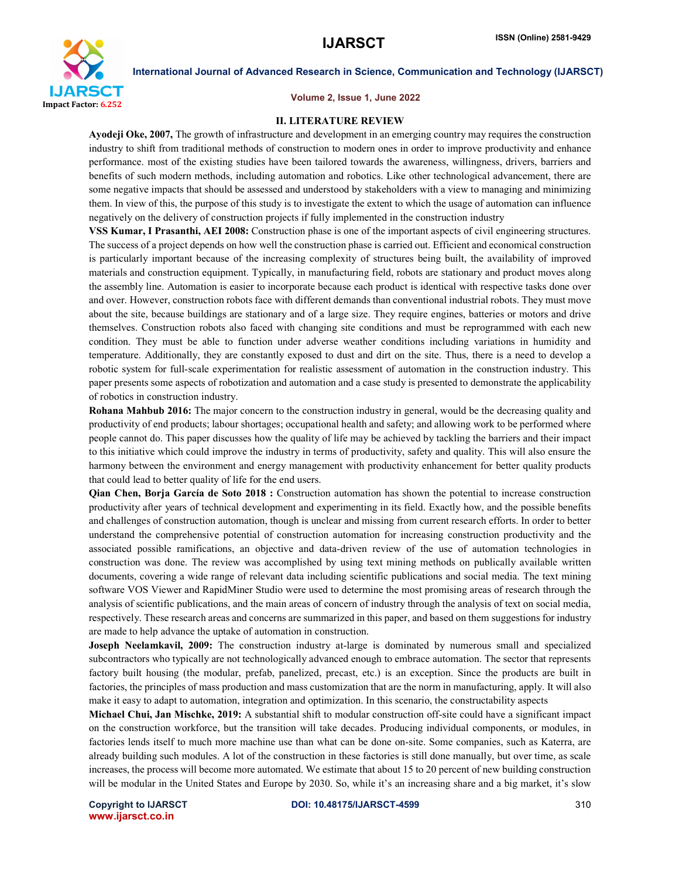

#### Volume 2, Issue 1, June 2022

### II. LITERATURE REVIEW

Ayodeji Oke, 2007, The growth of infrastructure and development in an emerging country may requires the construction industry to shift from traditional methods of construction to modern ones in order to improve productivity and enhance performance. most of the existing studies have been tailored towards the awareness, willingness, drivers, barriers and benefits of such modern methods, including automation and robotics. Like other technological advancement, there are some negative impacts that should be assessed and understood by stakeholders with a view to managing and minimizing them. In view of this, the purpose of this study is to investigate the extent to which the usage of automation can influence negatively on the delivery of construction projects if fully implemented in the construction industry

VSS Kumar, I Prasanthi, AEI 2008: Construction phase is one of the important aspects of civil engineering structures. The success of a project depends on how well the construction phase is carried out. Efficient and economical construction is particularly important because of the increasing complexity of structures being built, the availability of improved materials and construction equipment. Typically, in manufacturing field, robots are stationary and product moves along the assembly line. Automation is easier to incorporate because each product is identical with respective tasks done over and over. However, construction robots face with different demands than conventional industrial robots. They must move about the site, because buildings are stationary and of a large size. They require engines, batteries or motors and drive themselves. Construction robots also faced with changing site conditions and must be reprogrammed with each new condition. They must be able to function under adverse weather conditions including variations in humidity and temperature. Additionally, they are constantly exposed to dust and dirt on the site. Thus, there is a need to develop a robotic system for full-scale experimentation for realistic assessment of automation in the construction industry. This paper presents some aspects of robotization and automation and a case study is presented to demonstrate the applicability of robotics in construction industry.

Rohana Mahbub 2016: The major concern to the construction industry in general, would be the decreasing quality and productivity of end products; labour shortages; occupational health and safety; and allowing work to be performed where people cannot do. This paper discusses how the quality of life may be achieved by tackling the barriers and their impact to this initiative which could improve the industry in terms of productivity, safety and quality. This will also ensure the harmony between the environment and energy management with productivity enhancement for better quality products that could lead to better quality of life for the end users.

Qian Chen, Borja García de Soto 2018 : Construction automation has shown the potential to increase construction productivity after years of technical development and experimenting in its field. Exactly how, and the possible benefits and challenges of construction automation, though is unclear and missing from current research efforts. In order to better understand the comprehensive potential of construction automation for increasing construction productivity and the associated possible ramifications, an objective and data-driven review of the use of automation technologies in construction was done. The review was accomplished by using text mining methods on publically available written documents, covering a wide range of relevant data including scientific publications and social media. The text mining software VOS Viewer and RapidMiner Studio were used to determine the most promising areas of research through the analysis of scientific publications, and the main areas of concern of industry through the analysis of text on social media, respectively. These research areas and concerns are summarized in this paper, and based on them suggestions for industry are made to help advance the uptake of automation in construction.

Joseph Neelamkavil, 2009: The construction industry at-large is dominated by numerous small and specialized subcontractors who typically are not technologically advanced enough to embrace automation. The sector that represents factory built housing (the modular, prefab, panelized, precast, etc.) is an exception. Since the products are built in factories, the principles of mass production and mass customization that are the norm in manufacturing, apply. It will also make it easy to adapt to automation, integration and optimization. In this scenario, the constructability aspects

Michael Chui, Jan Mischke, 2019: A substantial shift to modular construction off-site could have a significant impact on the construction workforce, but the transition will take decades. Producing individual components, or modules, in factories lends itself to much more machine use than what can be done on-site. Some companies, such as Katerra, are already building such modules. A lot of the construction in these factories is still done manually, but over time, as scale increases, the process will become more automated. We estimate that about 15 to 20 percent of new building construction will be modular in the United States and Europe by 2030. So, while it's an increasing share and a big market, it's slow

www.ijarsct.co.in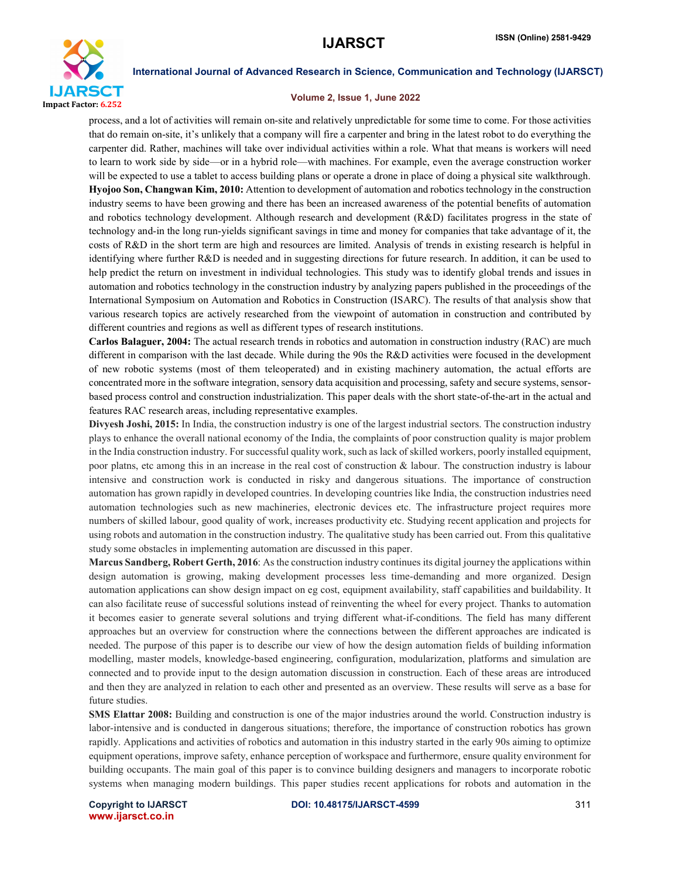

### Volume 2, Issue 1, June 2022

process, and a lot of activities will remain on-site and relatively unpredictable for some time to come. For those activities that do remain on-site, it's unlikely that a company will fire a carpenter and bring in the latest robot to do everything the carpenter did. Rather, machines will take over individual activities within a role. What that means is workers will need to learn to work side by side—or in a hybrid role—with machines. For example, even the average construction worker will be expected to use a tablet to access building plans or operate a drone in place of doing a physical site walkthrough. Hyojoo Son, Changwan Kim, 2010: Attention to development of automation and robotics technology in the construction industry seems to have been growing and there has been an increased awareness of the potential benefits of automation and robotics technology development. Although research and development (R&D) facilitates progress in the state of technology and-in the long run-yields significant savings in time and money for companies that take advantage of it, the costs of R&D in the short term are high and resources are limited. Analysis of trends in existing research is helpful in identifying where further R&D is needed and in suggesting directions for future research. In addition, it can be used to help predict the return on investment in individual technologies. This study was to identify global trends and issues in automation and robotics technology in the construction industry by analyzing papers published in the proceedings of the International Symposium on Automation and Robotics in Construction (ISARC). The results of that analysis show that various research topics are actively researched from the viewpoint of automation in construction and contributed by different countries and regions as well as different types of research institutions.

Carlos Balaguer, 2004: The actual research trends in robotics and automation in construction industry (RAC) are much different in comparison with the last decade. While during the 90s the R&D activities were focused in the development of new robotic systems (most of them teleoperated) and in existing machinery automation, the actual efforts are concentrated more in the software integration, sensory data acquisition and processing, safety and secure systems, sensorbased process control and construction industrialization. This paper deals with the short state-of-the-art in the actual and features RAC research areas, including representative examples.

Divyesh Joshi, 2015: In India, the construction industry is one of the largest industrial sectors. The construction industry plays to enhance the overall national economy of the India, the complaints of poor construction quality is major problem in the India construction industry. For successful quality work, such as lack of skilled workers, poorly installed equipment, poor platns, etc among this in an increase in the real cost of construction  $\&$  labour. The construction industry is labour intensive and construction work is conducted in risky and dangerous situations. The importance of construction automation has grown rapidly in developed countries. In developing countries like India, the construction industries need automation technologies such as new machineries, electronic devices etc. The infrastructure project requires more numbers of skilled labour, good quality of work, increases productivity etc. Studying recent application and projects for using robots and automation in the construction industry. The qualitative study has been carried out. From this qualitative study some obstacles in implementing automation are discussed in this paper.

Marcus Sandberg, Robert Gerth, 2016: As the construction industry continues its digital journey the applications within design automation is growing, making development processes less time-demanding and more organized. Design automation applications can show design impact on eg cost, equipment availability, staff capabilities and buildability. It can also facilitate reuse of successful solutions instead of reinventing the wheel for every project. Thanks to automation it becomes easier to generate several solutions and trying different what-if-conditions. The field has many different approaches but an overview for construction where the connections between the different approaches are indicated is needed. The purpose of this paper is to describe our view of how the design automation fields of building information modelling, master models, knowledge-based engineering, configuration, modularization, platforms and simulation are connected and to provide input to the design automation discussion in construction. Each of these areas are introduced and then they are analyzed in relation to each other and presented as an overview. These results will serve as a base for future studies.

SMS Elattar 2008: Building and construction is one of the major industries around the world. Construction industry is labor-intensive and is conducted in dangerous situations; therefore, the importance of construction robotics has grown rapidly. Applications and activities of robotics and automation in this industry started in the early 90s aiming to optimize equipment operations, improve safety, enhance perception of workspace and furthermore, ensure quality environment for building occupants. The main goal of this paper is to convince building designers and managers to incorporate robotic systems when managing modern buildings. This paper studies recent applications for robots and automation in the

www.ijarsct.co.in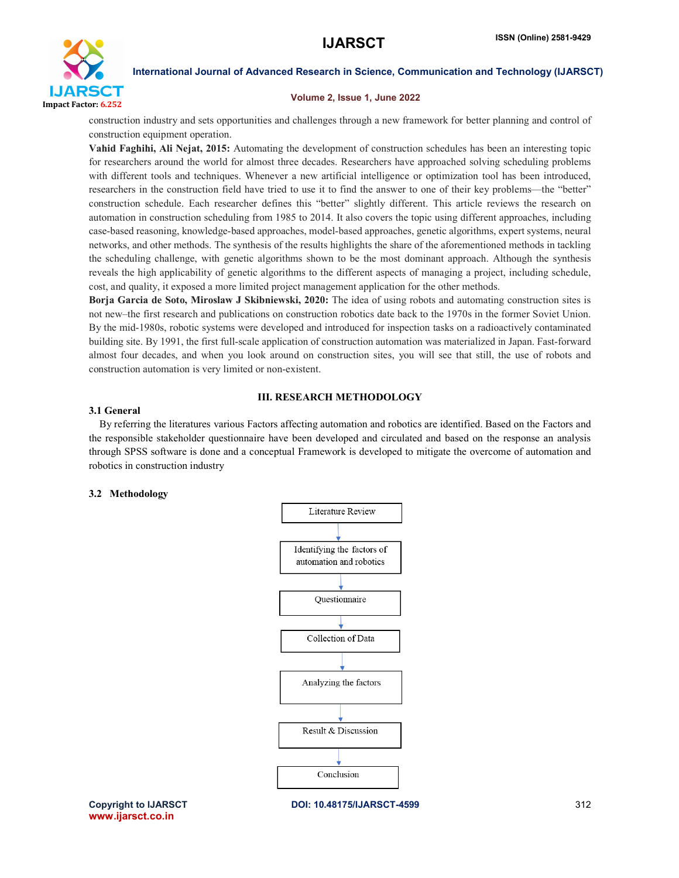

### Volume 2, Issue 1, June 2022

construction industry and sets opportunities and challenges through a new framework for better planning and control of construction equipment operation.

Vahid Faghihi, Ali Nejat, 2015: Automating the development of construction schedules has been an interesting topic for researchers around the world for almost three decades. Researchers have approached solving scheduling problems with different tools and techniques. Whenever a new artificial intelligence or optimization tool has been introduced, researchers in the construction field have tried to use it to find the answer to one of their key problems—the "better" construction schedule. Each researcher defines this "better" slightly different. This article reviews the research on automation in construction scheduling from 1985 to 2014. It also covers the topic using different approaches, including case-based reasoning, knowledge-based approaches, model-based approaches, genetic algorithms, expert systems, neural networks, and other methods. The synthesis of the results highlights the share of the aforementioned methods in tackling the scheduling challenge, with genetic algorithms shown to be the most dominant approach. Although the synthesis reveals the high applicability of genetic algorithms to the different aspects of managing a project, including schedule, cost, and quality, it exposed a more limited project management application for the other methods.

Borja Garcia de Soto, Miroslaw J Skibniewski, 2020: The idea of using robots and automating construction sites is not new–the first research and publications on construction robotics date back to the 1970s in the former Soviet Union. By the mid-1980s, robotic systems were developed and introduced for inspection tasks on a radioactively contaminated building site. By 1991, the first full-scale application of construction automation was materialized in Japan. Fast-forward almost four decades, and when you look around on construction sites, you will see that still, the use of robots and construction automation is very limited or non-existent.

# III. RESEARCH METHODOLOGY

# 3.1 General

By referring the literatures various Factors affecting automation and robotics are identified. Based on the Factors and the responsible stakeholder questionnaire have been developed and circulated and based on the response an analysis through SPSS software is done and a conceptual Framework is developed to mitigate the overcome of automation and robotics in construction industry

# 3.2 Methodology



www.ijarsct.co.in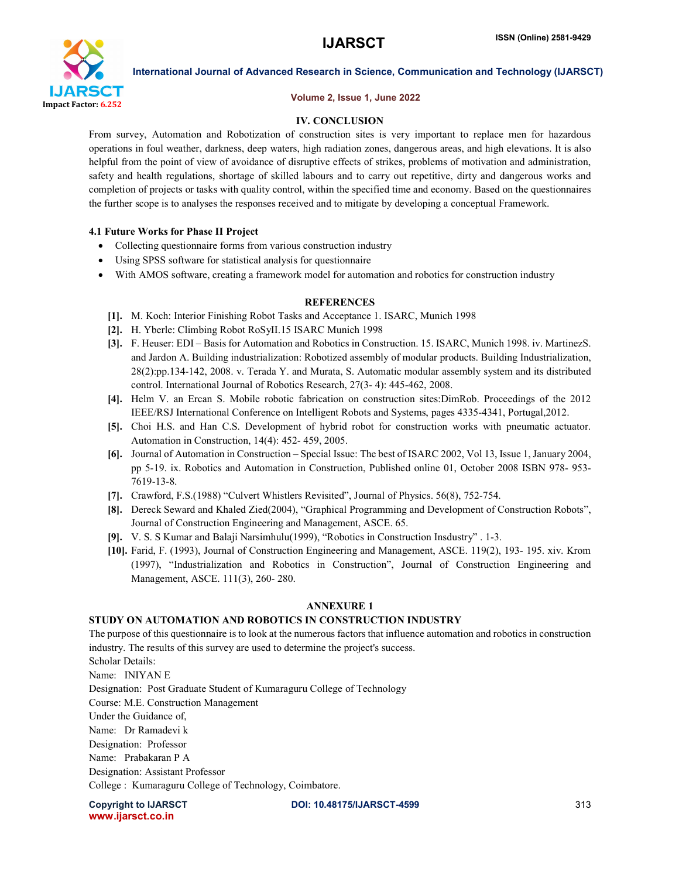

# Volume 2, Issue 1, June 2022

# IV. CONCLUSION

From survey, Automation and Robotization of construction sites is very important to replace men for hazardous operations in foul weather, darkness, deep waters, high radiation zones, dangerous areas, and high elevations. It is also helpful from the point of view of avoidance of disruptive effects of strikes, problems of motivation and administration, safety and health regulations, shortage of skilled labours and to carry out repetitive, dirty and dangerous works and completion of projects or tasks with quality control, within the specified time and economy. Based on the questionnaires the further scope is to analyses the responses received and to mitigate by developing a conceptual Framework.

# 4.1 Future Works for Phase II Project

- Collecting questionnaire forms from various construction industry
- Using SPSS software for statistical analysis for questionnaire
- With AMOS software, creating a framework model for automation and robotics for construction industry

# **REFERENCES**

- [1]. M. Koch: Interior Finishing Robot Tasks and Acceptance 1. ISARC, Munich 1998
- [2]. H. Yberle: Climbing Robot RoSyII.15 ISARC Munich 1998
- [3]. F. Heuser: EDI Basis for Automation and Robotics in Construction. 15. ISARC, Munich 1998. iv. MartinezS. and Jardon A. Building industrialization: Robotized assembly of modular products. Building Industrialization, 28(2):pp.134-142, 2008. v. Terada Y. and Murata, S. Automatic modular assembly system and its distributed control. International Journal of Robotics Research, 27(3- 4): 445-462, 2008.
- [4]. Helm V. an Ercan S. Mobile robotic fabrication on construction sites:DimRob. Proceedings of the 2012 IEEE/RSJ International Conference on Intelligent Robots and Systems, pages 4335-4341, Portugal,2012.
- [5]. Choi H.S. and Han C.S. Development of hybrid robot for construction works with pneumatic actuator. Automation in Construction, 14(4): 452- 459, 2005.
- [6]. Journal of Automation in Construction Special Issue: The best of ISARC 2002, Vol 13, Issue 1, January 2004, pp 5-19. ix. Robotics and Automation in Construction, Published online 01, October 2008 ISBN 978- 953- 7619-13-8.
- [7]. Crawford, F.S.(1988) "Culvert Whistlers Revisited", Journal of Physics. 56(8), 752-754.
- [8]. Dereck Seward and Khaled Zied(2004), "Graphical Programming and Development of Construction Robots", Journal of Construction Engineering and Management, ASCE. 65.
- [9]. V. S. S Kumar and Balaji Narsimhulu(1999), "Robotics in Construction Insdustry" . 1-3.
- [10]. Farid, F. (1993), Journal of Construction Engineering and Management, ASCE. 119(2), 193- 195. xiv. Krom (1997), "Industrialization and Robotics in Construction", Journal of Construction Engineering and Management, ASCE. 111(3), 260- 280.

# ANNEXURE 1

# STUDY ON AUTOMATION AND ROBOTICS IN CONSTRUCTION INDUSTRY

The purpose of this questionnaire is to look at the numerous factors that influence automation and robotics in construction industry. The results of this survey are used to determine the project's success. Scholar Details: Name: INIYAN E Designation: Post Graduate Student of Kumaraguru College of Technology Course: M.E. Construction Management Under the Guidance of, Name: Dr Ramadevi k Designation: Professor Name: Prabakaran P A Designation: Assistant Professor College : Kumaraguru College of Technology, Coimbatore.

www.ijarsct.co.in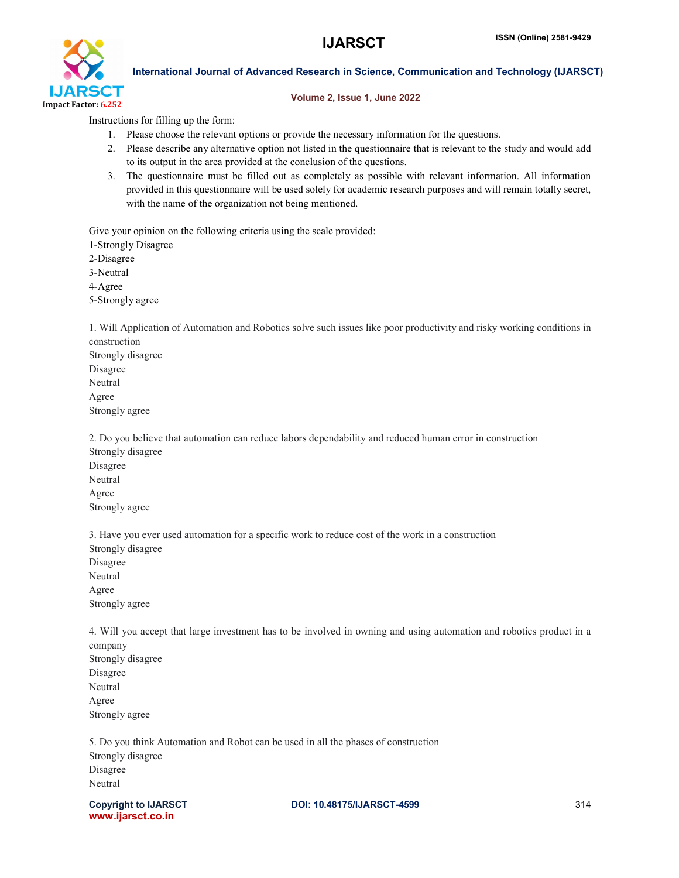

### Volume 2, Issue 1, June 2022

Instructions for filling up the form:

- 1. Please choose the relevant options or provide the necessary information for the questions.
- 2. Please describe any alternative option not listed in the questionnaire that is relevant to the study and would add to its output in the area provided at the conclusion of the questions.
- 3. The questionnaire must be filled out as completely as possible with relevant information. All information provided in this questionnaire will be used solely for academic research purposes and will remain totally secret, with the name of the organization not being mentioned.

Give your opinion on the following criteria using the scale provided:

1-Strongly Disagree

2-Disagree

3-Neutral

4-Agree

5-Strongly agree

1. Will Application of Automation and Robotics solve such issues like poor productivity and risky working conditions in construction Strongly disagree

Disagree Neutral Agree Strongly agree

2. Do you believe that automation can reduce labors dependability and reduced human error in construction Strongly disagree Disagree Neutral Agree Strongly agree

3. Have you ever used automation for a specific work to reduce cost of the work in a construction Strongly disagree Disagree Neutral Agree Strongly agree

4. Will you accept that large investment has to be involved in owning and using automation and robotics product in a company Strongly disagree Disagree Neutral Agree Strongly agree

5. Do you think Automation and Robot can be used in all the phases of construction Strongly disagree Disagree Neutral

www.ijarsct.co.in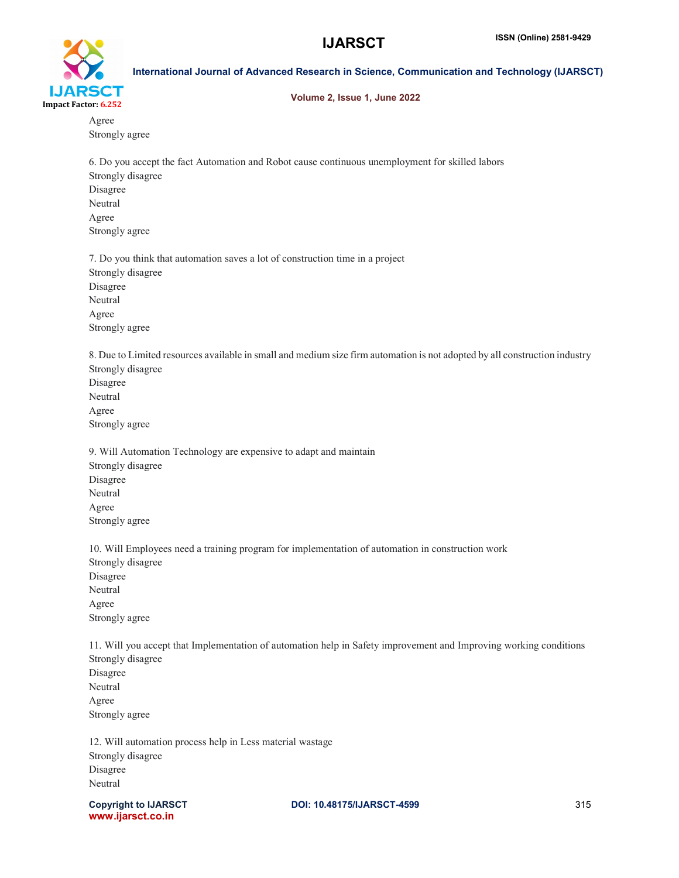

#### Volume 2, Issue 1, June 2022

Agree Strongly agree

6. Do you accept the fact Automation and Robot cause continuous unemployment for skilled labors Strongly disagree Disagree Neutral Agree Strongly agree

7. Do you think that automation saves a lot of construction time in a project Strongly disagree Disagree Neutral Agree Strongly agree

8. Due to Limited resources available in small and medium size firm automation is not adopted by all construction industry Strongly disagree Disagree Neutral

Agree Strongly agree

9. Will Automation Technology are expensive to adapt and maintain Strongly disagree Disagree Neutral Agree Strongly agree

10. Will Employees need a training program for implementation of automation in construction work Strongly disagree Disagree Neutral Agree Strongly agree

11. Will you accept that Implementation of automation help in Safety improvement and Improving working conditions Strongly disagree Disagree Neutral Agree Strongly agree

12. Will automation process help in Less material wastage Strongly disagree Disagree Neutral

www.ijarsct.co.in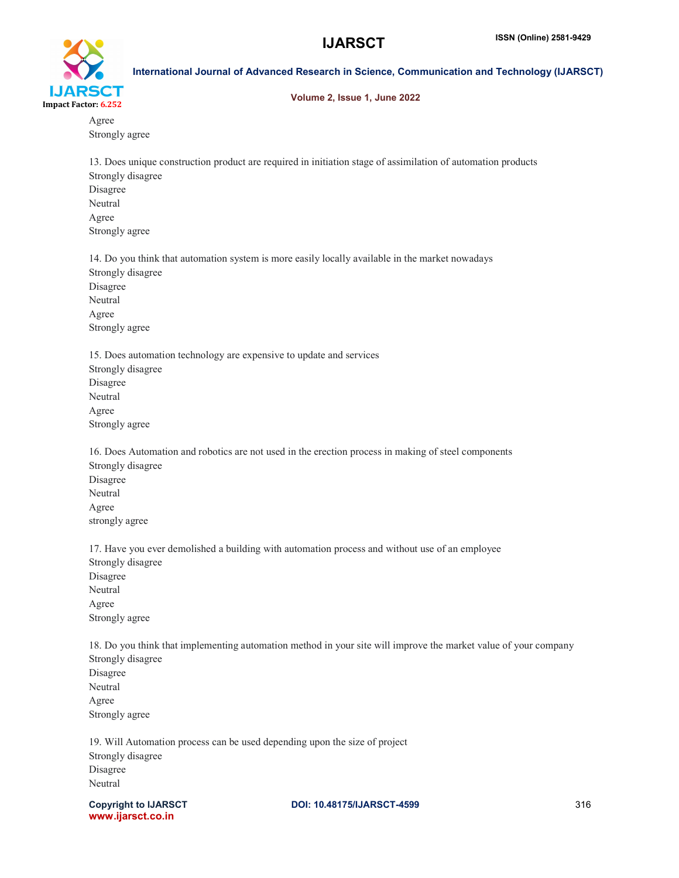

# Volume 2, Issue 1, June 2022

Agree Strongly agree

13. Does unique construction product are required in initiation stage of assimilation of automation products Strongly disagree Disagree Neutral Agree Strongly agree

14. Do you think that automation system is more easily locally available in the market nowadays Strongly disagree Disagree Neutral Agree Strongly agree

15. Does automation technology are expensive to update and services Strongly disagree Disagree Neutral Agree Strongly agree

16. Does Automation and robotics are not used in the erection process in making of steel components Strongly disagree Disagree Neutral Agree strongly agree

17. Have you ever demolished a building with automation process and without use of an employee Strongly disagree Disagree Neutral Agree Strongly agree

18. Do you think that implementing automation method in your site will improve the market value of your company Strongly disagree Disagree Neutral Agree Strongly agree

19. Will Automation process can be used depending upon the size of project Strongly disagree Disagree Neutral

www.ijarsct.co.in